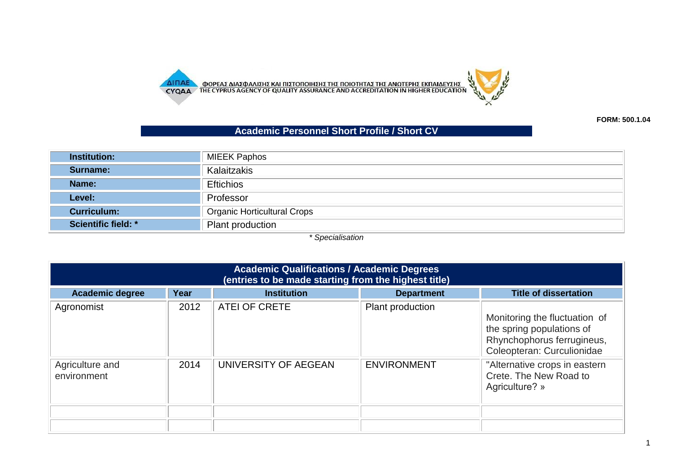

**FORM: 500.1.04**

## **Academic Personnel Short Profile / Short CV**

| <b>Institution:</b>        | MIEEK Paphos                       |
|----------------------------|------------------------------------|
| Surname:                   | Kalaitzakis                        |
| Name:                      | <b>Eftichios</b>                   |
| Level:                     | Professor                          |
| <b>Curriculum:</b>         | <b>Organic Horticultural Crops</b> |
| <b>Scientific field: *</b> | Plant production                   |

*\* Specialisation*

| <b>Academic Qualifications / Academic Degrees</b><br>(entries to be made starting from the highest title) |      |                      |                    |                                                                                                                        |  |
|-----------------------------------------------------------------------------------------------------------|------|----------------------|--------------------|------------------------------------------------------------------------------------------------------------------------|--|
| <b>Academic degree</b>                                                                                    | Year | <b>Institution</b>   | <b>Department</b>  | <b>Title of dissertation</b>                                                                                           |  |
| Agronomist                                                                                                | 2012 | ATEI OF CRETE        | Plant production   | Monitoring the fluctuation of<br>the spring populations of<br>Rhynchophorus ferrugineus,<br>Coleopteran: Curculionidae |  |
| Agriculture and<br>environment                                                                            | 2014 | UNIVERSITY OF AEGEAN | <b>ENVIRONMENT</b> | "Alternative crops in eastern<br>Crete. The New Road to<br>Agriculture? »                                              |  |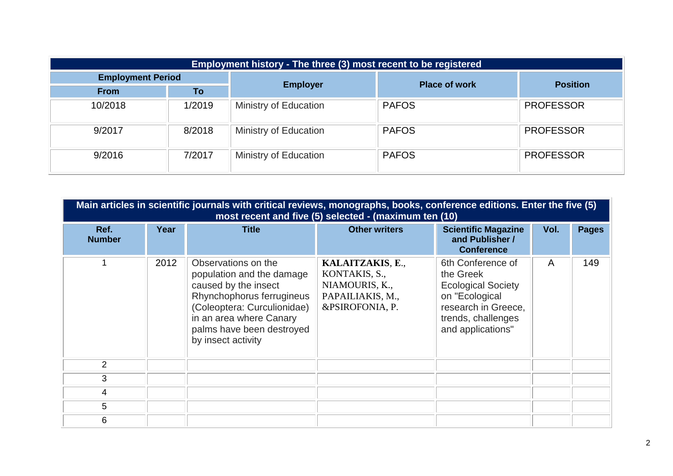| Employment history - The three (3) most recent to be registered |        |                       |                      |                  |
|-----------------------------------------------------------------|--------|-----------------------|----------------------|------------------|
| <b>Employment Period</b>                                        |        | <b>Employer</b>       | <b>Place of work</b> | <b>Position</b>  |
| <b>From</b>                                                     | To     |                       |                      |                  |
| 10/2018                                                         | 1/2019 | Ministry of Education | <b>PAFOS</b>         | <b>PROFESSOR</b> |
| 9/2017                                                          | 8/2018 | Ministry of Education | <b>PAFOS</b>         | <b>PROFESSOR</b> |
| 9/2016                                                          | 7/2017 | Ministry of Education | <b>PAFOS</b>         | <b>PROFESSOR</b> |

|                       | Main articles in scientific journals with critical reviews, monographs, books, conference editions. Enter the five (5)<br>most recent and five (5) selected - (maximum ten (10) |                                                                                                                                                                                                                    |                                                                                            |                                                                                                                                                 |      |              |  |  |
|-----------------------|---------------------------------------------------------------------------------------------------------------------------------------------------------------------------------|--------------------------------------------------------------------------------------------------------------------------------------------------------------------------------------------------------------------|--------------------------------------------------------------------------------------------|-------------------------------------------------------------------------------------------------------------------------------------------------|------|--------------|--|--|
| Ref.<br><b>Number</b> | Year                                                                                                                                                                            | <b>Title</b>                                                                                                                                                                                                       | <b>Other writers</b>                                                                       | <b>Scientific Magazine</b><br>and Publisher /<br><b>Conference</b>                                                                              | Vol. | <b>Pages</b> |  |  |
|                       | 2012                                                                                                                                                                            | Observations on the<br>population and the damage<br>caused by the insect<br>Rhynchophorus ferrugineus<br>(Coleoptera: Curculionidae)<br>in an area where Canary<br>palms have been destroyed<br>by insect activity | KALAITZAKIS, E.,<br>KONTAKIS, S.,<br>NIAMOURIS, K.,<br>PAPAILIAKIS, M.,<br>&PSIROFONIA, P. | 6th Conference of<br>the Greek<br><b>Ecological Society</b><br>on "Ecological<br>research in Greece,<br>trends, challenges<br>and applications" | A    | 149          |  |  |
| $\overline{2}$        |                                                                                                                                                                                 |                                                                                                                                                                                                                    |                                                                                            |                                                                                                                                                 |      |              |  |  |
| 3                     |                                                                                                                                                                                 |                                                                                                                                                                                                                    |                                                                                            |                                                                                                                                                 |      |              |  |  |
| 4                     |                                                                                                                                                                                 |                                                                                                                                                                                                                    |                                                                                            |                                                                                                                                                 |      |              |  |  |
| 5                     |                                                                                                                                                                                 |                                                                                                                                                                                                                    |                                                                                            |                                                                                                                                                 |      |              |  |  |
| 6                     |                                                                                                                                                                                 |                                                                                                                                                                                                                    |                                                                                            |                                                                                                                                                 |      |              |  |  |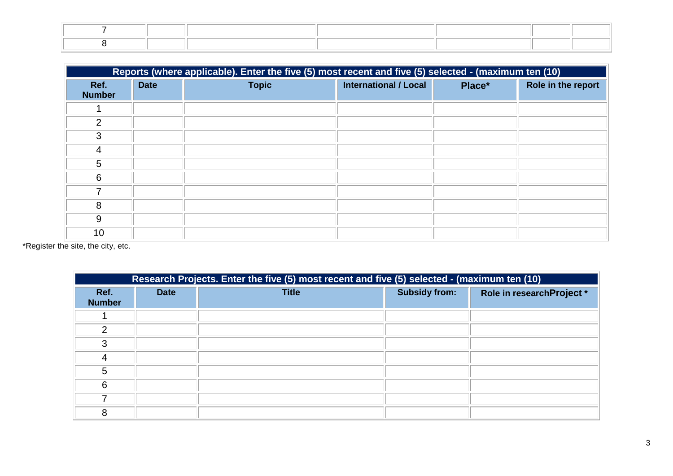|                       | Reports (where applicable). Enter the five (5) most recent and five (5) selected - (maximum ten (10) |              |                              |        |                    |  |
|-----------------------|------------------------------------------------------------------------------------------------------|--------------|------------------------------|--------|--------------------|--|
| Ref.<br><b>Number</b> | <b>Date</b>                                                                                          | <b>Topic</b> | <b>International / Local</b> | Place* | Role in the report |  |
|                       |                                                                                                      |              |                              |        |                    |  |
| 2                     |                                                                                                      |              |                              |        |                    |  |
| 3                     |                                                                                                      |              |                              |        |                    |  |
| 4                     |                                                                                                      |              |                              |        |                    |  |
| 5                     |                                                                                                      |              |                              |        |                    |  |
| 6                     |                                                                                                      |              |                              |        |                    |  |
|                       |                                                                                                      |              |                              |        |                    |  |
| 8                     |                                                                                                      |              |                              |        |                    |  |
| 9                     |                                                                                                      |              |                              |        |                    |  |
| 10                    |                                                                                                      |              |                              |        |                    |  |

\*Register the site, the city, etc.

|                       | Research Projects. Enter the five (5) most recent and five (5) selected - (maximum ten (10) |              |                      |                           |  |  |  |
|-----------------------|---------------------------------------------------------------------------------------------|--------------|----------------------|---------------------------|--|--|--|
| Ref.<br><b>Number</b> | <b>Date</b>                                                                                 | <b>Title</b> | <b>Subsidy from:</b> | Role in researchProject * |  |  |  |
|                       |                                                                                             |              |                      |                           |  |  |  |
| 2                     |                                                                                             |              |                      |                           |  |  |  |
| 3                     |                                                                                             |              |                      |                           |  |  |  |
| 4                     |                                                                                             |              |                      |                           |  |  |  |
| 5                     |                                                                                             |              |                      |                           |  |  |  |
| 6                     |                                                                                             |              |                      |                           |  |  |  |
|                       |                                                                                             |              |                      |                           |  |  |  |
| 8                     |                                                                                             |              |                      |                           |  |  |  |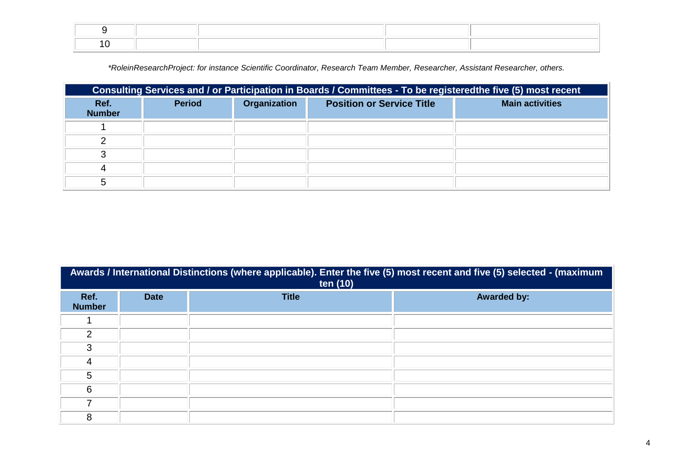*\*RoleinResearchProject: for instance Scientific Coordinator, Research Team Member, Researcher, Assistant Researcher, others.*

| Consulting Services and / or Participation in Boards / Committees - To be registeredthe five (5) most recent |               |              |                                  |                        |  |
|--------------------------------------------------------------------------------------------------------------|---------------|--------------|----------------------------------|------------------------|--|
| Ref.<br><b>Number</b>                                                                                        | <b>Period</b> | Organization | <b>Position or Service Title</b> | <b>Main activities</b> |  |
|                                                                                                              |               |              |                                  |                        |  |
|                                                                                                              |               |              |                                  |                        |  |
|                                                                                                              |               |              |                                  |                        |  |
|                                                                                                              |               |              |                                  |                        |  |
|                                                                                                              |               |              |                                  |                        |  |

|                       | Awards / International Distinctions (where applicable). Enter the five (5) most recent and five (5) selected - (maximum<br>ten (10) |              |                    |  |  |  |  |
|-----------------------|-------------------------------------------------------------------------------------------------------------------------------------|--------------|--------------------|--|--|--|--|
| Ref.<br><b>Number</b> | <b>Date</b>                                                                                                                         | <b>Title</b> | <b>Awarded by:</b> |  |  |  |  |
|                       |                                                                                                                                     |              |                    |  |  |  |  |
| $\mathcal{P}$         |                                                                                                                                     |              |                    |  |  |  |  |
| 3                     |                                                                                                                                     |              |                    |  |  |  |  |
| 4                     |                                                                                                                                     |              |                    |  |  |  |  |
| 5                     |                                                                                                                                     |              |                    |  |  |  |  |
| 6                     |                                                                                                                                     |              |                    |  |  |  |  |
| 7                     |                                                                                                                                     |              |                    |  |  |  |  |
| 8                     |                                                                                                                                     |              |                    |  |  |  |  |